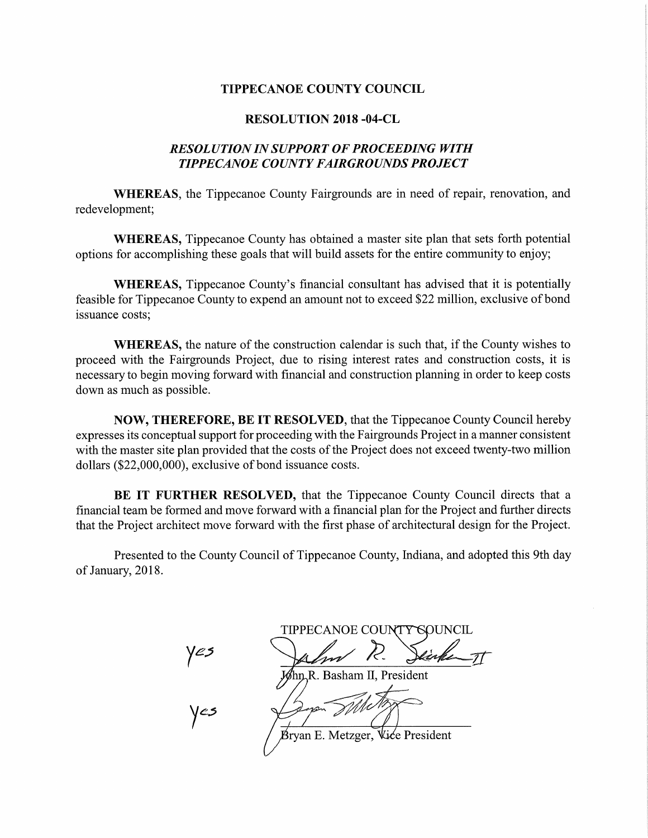## TIPPECANOE COUNTY COUNCIL

## RESOLUTION 2018 -04-CL

## RESOLUTIONINSUPPORT OF PROCEEDING WITH TIPPECANOE COUNTY FAIRGROUNDS PROJECT

WHEREAS, the Tippecanoe County Fairgrounds are in need of repair, renovation, and redevelopment;

WHEREAS, Tippecanoe County has obtained <sup>a</sup> master site plan that sets forth potential options for accomplishing these goals that will build assets for the entire community to enjoy;

WHEREAS, Tippecanoe County's financial consultant has advised that it is potentially feasible for Tippecanoe County to expend an amount not to exceed \$22 million, exclusive of bond issuance costs;

WHEREAS, the nature of the construction calendar is such that, if the County wishes to proceed with the Fairgrounds Project, due to rising interest rates and construction costs, it is necessary to begin moving forward with financial and construction planning in order to keep costs down as much as possible.

NOW, THEREFORE, BE IT RESOLVED, that the Tippecanoe County Council hereby expresses its conceptual support for proceeding with the Fairgrounds Project in <sup>a</sup> manner consistent with the master site plan provided that the costs of the Project does not exceed twenty-two million dollars (\$22,000,000), exclusive of bond issuance costs.

BE IT FURTHER RESOLVED, that the Tippecanoe County Council directs that a financial team be formed and move forward with <sup>a</sup> financial plan for the Project and further directs that the Project architect move forward with the first phase of architectural design for the Project.

Presented to the County Council of Tippecanoe County, Indiana, and adopted this 9th day of January, 2018.

TIPPECANOE COUNTY SOUNCIL m R. Sinker II Jøhn R. Basham II, President Whetex Bryan E. Metzger, Vice President